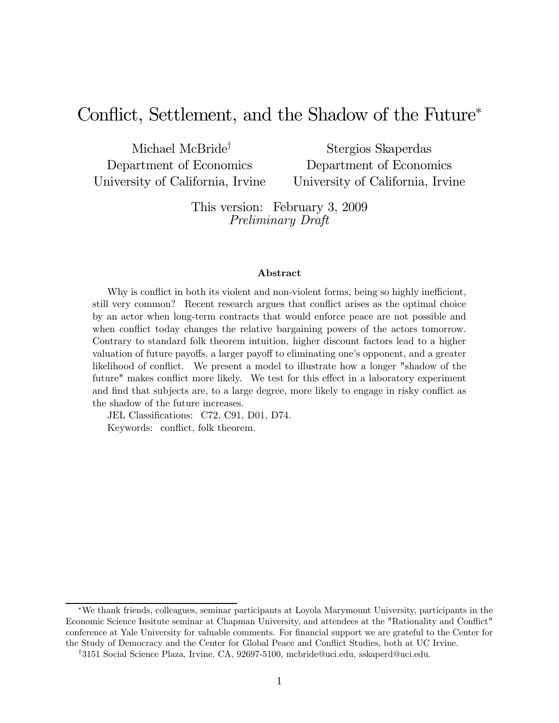### Conflict, Settlement, and the Shadow of the Future

Michael McBride† Department of Economics University of California, Irvine

Stergios Skaperdas Department of Economics University of California, Irvine

This version: February 3, 2009 Preliminary Draft

### Abstract

Why is conflict in both its violent and non-violent forms, being so highly inefficient, still very common? Recent research argues that conflict arises as the optimal choice by an actor when long-term contracts that would enforce peace are not possible and when conflict today changes the relative bargaining powers of the actors tomorrow. Contrary to standard folk theorem intuition, higher discount factors lead to a higher valuation of future payoffs, a larger payoff to eliminating one's opponent, and a greater likelihood of conflict. We present a model to illustrate how a longer "shadow of the future" makes conflict more likely. We test for this effect in a laboratory experiment and find that subjects are, to a large degree, more likely to engage in risky conflict as the shadow of the future increases.

JEL Classifications: C72, C91, D01, D74. Keywords: conflict, folk theorem.

We thank friends, colleagues, seminar participants at Loyola Marymount University, participants in the Economic Science Insitute seminar at Chapman University, and attendees at the "Rationality and Conflict" conference at Yale University for valuable comments. For financial support we are grateful to the Center for the Study of Democracy and the Center for Global Peace and Conflict Studies, both at UC Irvine.

<sup>†</sup>3151 Social Science Plaza, Irvine, CA, 92697-5100, mcbride@uci.edu, sskaperd@uci.edu.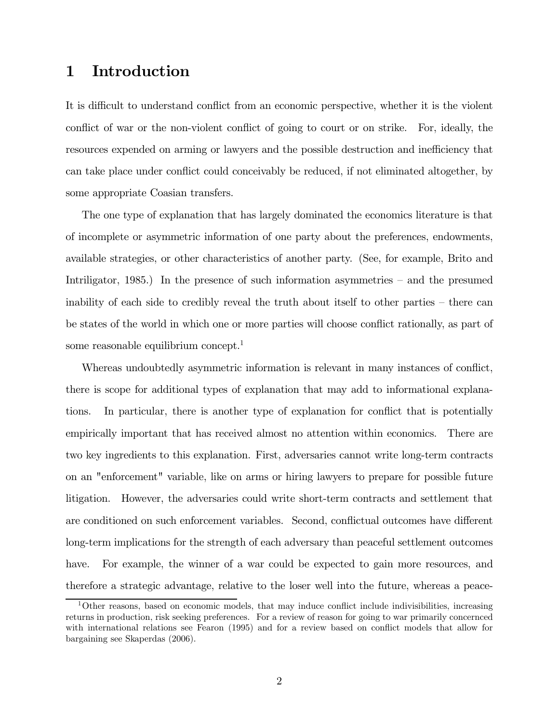### 1 Introduction

It is difficult to understand conflict from an economic perspective, whether it is the violent conflict of war or the non-violent conflict of going to court or on strike. For, ideally, the resources expended on arming or lawyers and the possible destruction and inefficiency that can take place under conflict could conceivably be reduced, if not eliminated altogether, by some appropriate Coasian transfers.

The one type of explanation that has largely dominated the economics literature is that of incomplete or asymmetric information of one party about the preferences, endowments, available strategies, or other characteristics of another party. (See, for example, Brito and Intriligator, 1985.) In the presence of such information asymmetries – and the presumed inability of each side to credibly reveal the truth about itself to other parties — there can be states of the world in which one or more parties will choose conflict rationally, as part of some reasonable equilibrium concept.<sup>1</sup>

Whereas undoubtedly asymmetric information is relevant in many instances of conflict, there is scope for additional types of explanation that may add to informational explanations. In particular, there is another type of explanation for conflict that is potentially empirically important that has received almost no attention within economics. There are two key ingredients to this explanation. First, adversaries cannot write long-term contracts on an "enforcement" variable, like on arms or hiring lawyers to prepare for possible future litigation. However, the adversaries could write short-term contracts and settlement that are conditioned on such enforcement variables. Second, conflictual outcomes have different long-term implications for the strength of each adversary than peaceful settlement outcomes have. For example, the winner of a war could be expected to gain more resources, and therefore a strategic advantage, relative to the loser well into the future, whereas a peace-

<sup>1</sup>Other reasons, based on economic models, that may induce conflict include indivisibilities, increasing returns in production, risk seeking preferences. For a review of reason for going to war primarily concernced with international relations see Fearon (1995) and for a review based on conflict models that allow for bargaining see Skaperdas (2006).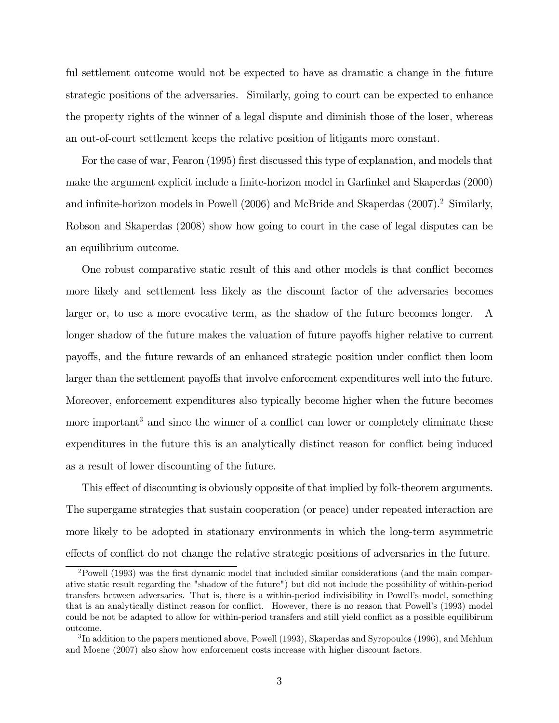ful settlement outcome would not be expected to have as dramatic a change in the future strategic positions of the adversaries. Similarly, going to court can be expected to enhance the property rights of the winner of a legal dispute and diminish those of the loser, whereas an out-of-court settlement keeps the relative position of litigants more constant.

For the case of war, Fearon (1995) first discussed this type of explanation, and models that make the argument explicit include a finite-horizon model in Garfinkel and Skaperdas (2000) and infinite-horizon models in Powell (2006) and McBride and Skaperdas (2007).2 Similarly, Robson and Skaperdas (2008) show how going to court in the case of legal disputes can be an equilibrium outcome.

One robust comparative static result of this and other models is that conflict becomes more likely and settlement less likely as the discount factor of the adversaries becomes larger or, to use a more evocative term, as the shadow of the future becomes longer. A longer shadow of the future makes the valuation of future payoffs higher relative to current payoffs, and the future rewards of an enhanced strategic position under conflict then loom larger than the settlement payoffs that involve enforcement expenditures well into the future. Moreover, enforcement expenditures also typically become higher when the future becomes more important<sup>3</sup> and since the winner of a conflict can lower or completely eliminate these expenditures in the future this is an analytically distinct reason for conflict being induced as a result of lower discounting of the future.

This effect of discounting is obviously opposite of that implied by folk-theorem arguments. The supergame strategies that sustain cooperation (or peace) under repeated interaction are more likely to be adopted in stationary environments in which the long-term asymmetric effects of conflict do not change the relative strategic positions of adversaries in the future.

<sup>&</sup>lt;sup>2</sup>Powell (1993) was the first dynamic model that included similar considerations (and the main comparative static result regarding the "shadow of the future") but did not include the possibility of within-period transfers between adversaries. That is, there is a within-period indivisibility in Powell's model, something that is an analytically distinct reason for conflict. However, there is no reason that Powell's (1993) model could be not be adapted to allow for within-period transfers and still yield conflict as a possible equilibirum outcome.

<sup>3</sup> In addition to the papers mentioned above, Powell (1993), Skaperdas and Syropoulos (1996), and Mehlum and Moene (2007) also show how enforcement costs increase with higher discount factors.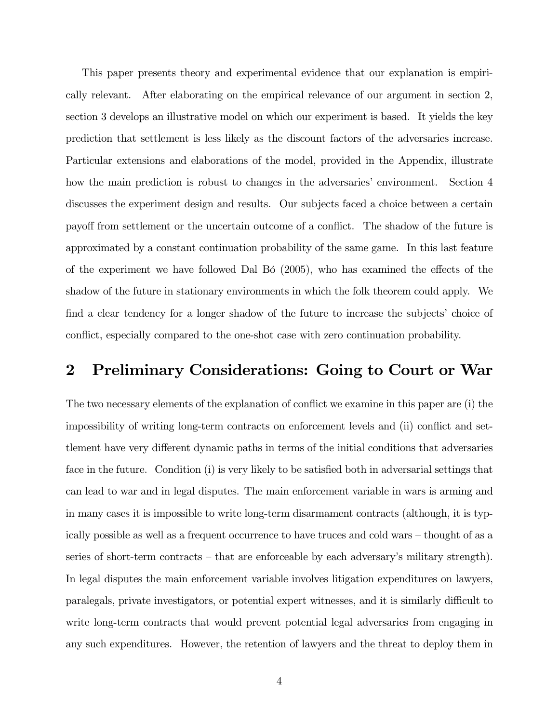This paper presents theory and experimental evidence that our explanation is empirically relevant. After elaborating on the empirical relevance of our argument in section 2, section 3 develops an illustrative model on which our experiment is based. It yields the key prediction that settlement is less likely as the discount factors of the adversaries increase. Particular extensions and elaborations of the model, provided in the Appendix, illustrate how the main prediction is robust to changes in the adversaries' environment. Section 4 discusses the experiment design and results. Our subjects faced a choice between a certain payoff from settlement or the uncertain outcome of a conflict. The shadow of the future is approximated by a constant continuation probability of the same game. In this last feature of the experiment we have followed Dal Bó  $(2005)$ , who has examined the effects of the shadow of the future in stationary environments in which the folk theorem could apply. We find a clear tendency for a longer shadow of the future to increase the subjects' choice of conflict, especially compared to the one-shot case with zero continuation probability.

### 2 Preliminary Considerations: Going to Court or War

The two necessary elements of the explanation of conflict we examine in this paper are (i) the impossibility of writing long-term contracts on enforcement levels and (ii) conflict and settlement have very different dynamic paths in terms of the initial conditions that adversaries face in the future. Condition (i) is very likely to be satisfied both in adversarial settings that can lead to war and in legal disputes. The main enforcement variable in wars is arming and in many cases it is impossible to write long-term disarmament contracts (although, it is typically possible as well as a frequent occurrence to have truces and cold wars — thought of as a series of short-term contracts – that are enforceable by each adversary's military strength). In legal disputes the main enforcement variable involves litigation expenditures on lawyers, paralegals, private investigators, or potential expert witnesses, and it is similarly difficult to write long-term contracts that would prevent potential legal adversaries from engaging in any such expenditures. However, the retention of lawyers and the threat to deploy them in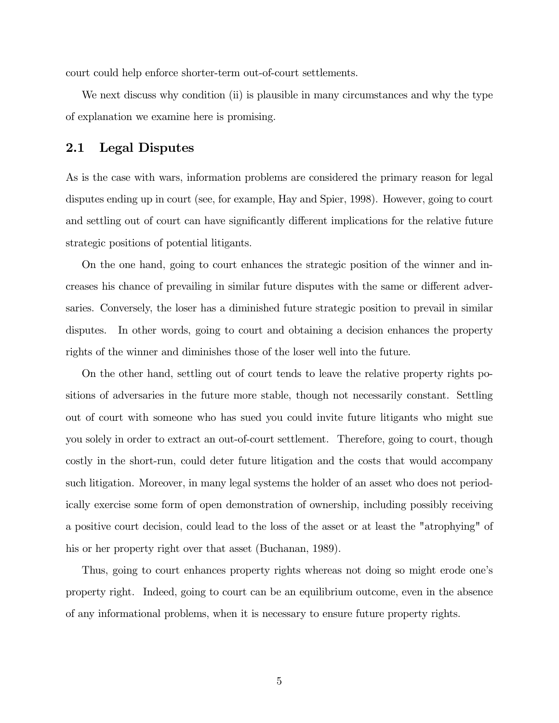court could help enforce shorter-term out-of-court settlements.

We next discuss why condition (ii) is plausible in many circumstances and why the type of explanation we examine here is promising.

### 2.1 Legal Disputes

As is the case with wars, information problems are considered the primary reason for legal disputes ending up in court (see, for example, Hay and Spier, 1998). However, going to court and settling out of court can have significantly different implications for the relative future strategic positions of potential litigants.

On the one hand, going to court enhances the strategic position of the winner and increases his chance of prevailing in similar future disputes with the same or different adversaries. Conversely, the loser has a diminished future strategic position to prevail in similar disputes. In other words, going to court and obtaining a decision enhances the property rights of the winner and diminishes those of the loser well into the future.

On the other hand, settling out of court tends to leave the relative property rights positions of adversaries in the future more stable, though not necessarily constant. Settling out of court with someone who has sued you could invite future litigants who might sue you solely in order to extract an out-of-court settlement. Therefore, going to court, though costly in the short-run, could deter future litigation and the costs that would accompany such litigation. Moreover, in many legal systems the holder of an asset who does not periodically exercise some form of open demonstration of ownership, including possibly receiving a positive court decision, could lead to the loss of the asset or at least the "atrophying" of his or her property right over that asset (Buchanan, 1989).

Thus, going to court enhances property rights whereas not doing so might erode one's property right. Indeed, going to court can be an equilibrium outcome, even in the absence of any informational problems, when it is necessary to ensure future property rights.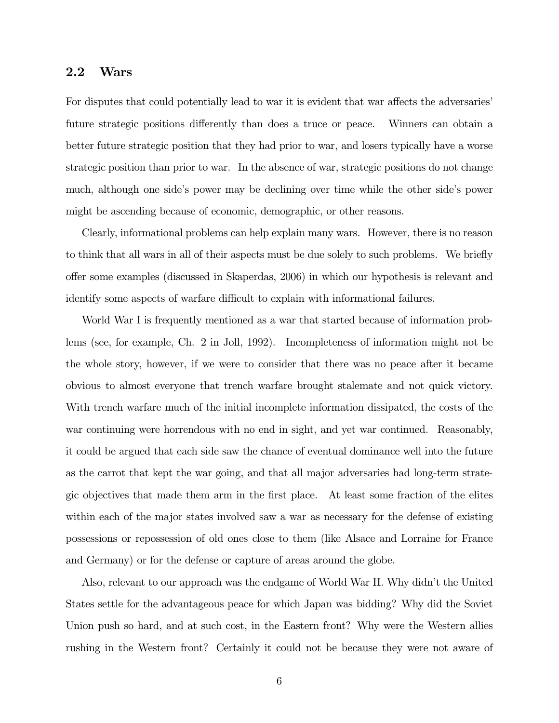### 2.2 Wars

For disputes that could potentially lead to war it is evident that war affects the adversaries' future strategic positions differently than does a truce or peace. Winners can obtain a better future strategic position that they had prior to war, and losers typically have a worse strategic position than prior to war. In the absence of war, strategic positions do not change much, although one side's power may be declining over time while the other side's power might be ascending because of economic, demographic, or other reasons.

Clearly, informational problems can help explain many wars. However, there is no reason to think that all wars in all of their aspects must be due solely to such problems. We briefly offer some examples (discussed in Skaperdas, 2006) in which our hypothesis is relevant and identify some aspects of warfare difficult to explain with informational failures.

World War I is frequently mentioned as a war that started because of information problems (see, for example, Ch. 2 in Joll, 1992). Incompleteness of information might not be the whole story, however, if we were to consider that there was no peace after it became obvious to almost everyone that trench warfare brought stalemate and not quick victory. With trench warfare much of the initial incomplete information dissipated, the costs of the war continuing were horrendous with no end in sight, and yet war continued. Reasonably, it could be argued that each side saw the chance of eventual dominance well into the future as the carrot that kept the war going, and that all major adversaries had long-term strategic objectives that made them arm in the first place. At least some fraction of the elites within each of the major states involved saw a war as necessary for the defense of existing possessions or repossession of old ones close to them (like Alsace and Lorraine for France and Germany) or for the defense or capture of areas around the globe.

Also, relevant to our approach was the endgame of World War II. Why didn't the United States settle for the advantageous peace for which Japan was bidding? Why did the Soviet Union push so hard, and at such cost, in the Eastern front? Why were the Western allies rushing in the Western front? Certainly it could not be because they were not aware of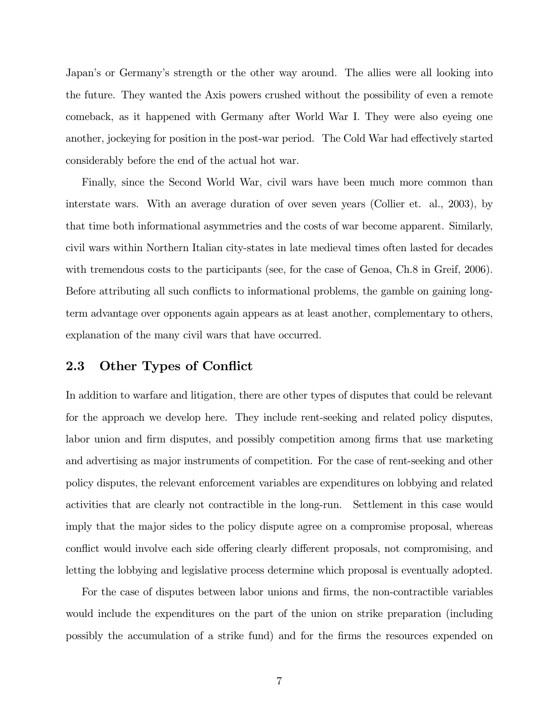Japan's or Germany's strength or the other way around. The allies were all looking into the future. They wanted the Axis powers crushed without the possibility of even a remote comeback, as it happened with Germany after World War I. They were also eyeing one another, jockeying for position in the post-war period. The Cold War had effectively started considerably before the end of the actual hot war.

Finally, since the Second World War, civil wars have been much more common than interstate wars. With an average duration of over seven years (Collier et. al., 2003), by that time both informational asymmetries and the costs of war become apparent. Similarly, civil wars within Northern Italian city-states in late medieval times often lasted for decades with tremendous costs to the participants (see, for the case of Genoa, Ch.8 in Greif, 2006). Before attributing all such conflicts to informational problems, the gamble on gaining longterm advantage over opponents again appears as at least another, complementary to others, explanation of the many civil wars that have occurred.

### 2.3 Other Types of Conflict

In addition to warfare and litigation, there are other types of disputes that could be relevant for the approach we develop here. They include rent-seeking and related policy disputes, labor union and firm disputes, and possibly competition among firms that use marketing and advertising as major instruments of competition. For the case of rent-seeking and other policy disputes, the relevant enforcement variables are expenditures on lobbying and related activities that are clearly not contractible in the long-run. Settlement in this case would imply that the major sides to the policy dispute agree on a compromise proposal, whereas conflict would involve each side offering clearly different proposals, not compromising, and letting the lobbying and legislative process determine which proposal is eventually adopted.

For the case of disputes between labor unions and firms, the non-contractible variables would include the expenditures on the part of the union on strike preparation (including possibly the accumulation of a strike fund) and for the firms the resources expended on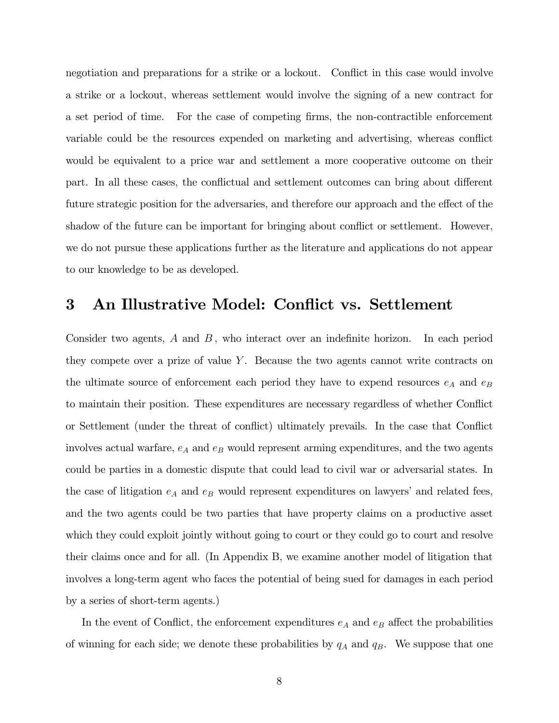negotiation and preparations for a strike or a lockout. Conflict in this case would involve a strike or a lockout, whereas settlement would involve the signing of a new contract for a set period of time. For the case of competing firms, the non-contractible enforcement variable could be the resources expended on marketing and advertising, whereas conflict would be equivalent to a price war and settlement a more cooperative outcome on their part. In all these cases, the conflictual and settlement outcomes can bring about different future strategic position for the adversaries, and therefore our approach and the effect of the shadow of the future can be important for bringing about conflict or settlement. However, we do not pursue these applications further as the literature and applications do not appear to our knowledge to be as developed.

### 3 An Illustrative Model: Conflict vs. Settlement

Consider two agents,  $A$  and  $B$ , who interact over an indefinite horizon. In each period they compete over a prize of value  $\ Y$ . Because the two agents cannot write contracts on the ultimate source of enforcement each period they have to expend resources  $e_A$  and  $e_B$ to maintain their position. These expenditures are necessary regardless of whether Conflict or Settlement (under the threat of conflict) ultimately prevails. In the case that Conflict involves actual warfare,  $e_A$  and  $e_B$  would represent arming expenditures, and the two agents could be parties in a domestic dispute that could lead to civil war or adversarial states. In the case of litigation  $e_A$  and  $e_B$  would represent expenditures on lawyers' and related fees, and the two agents could be two parties that have property claims on a productive asset which they could exploit jointly without going to court or they could go to court and resolve their claims once and for all. (In Appendix B, we examine another model of litigation that involves a long-term agent who faces the potential of being sued for damages in each period by a series of short-term agents.)

In the event of Conflict, the enforcement expenditures  $e_A$  and  $e_B$  affect the probabilities of winning for each side; we denote these probabilities by  $q_A$  and  $q_B$ . We suppose that one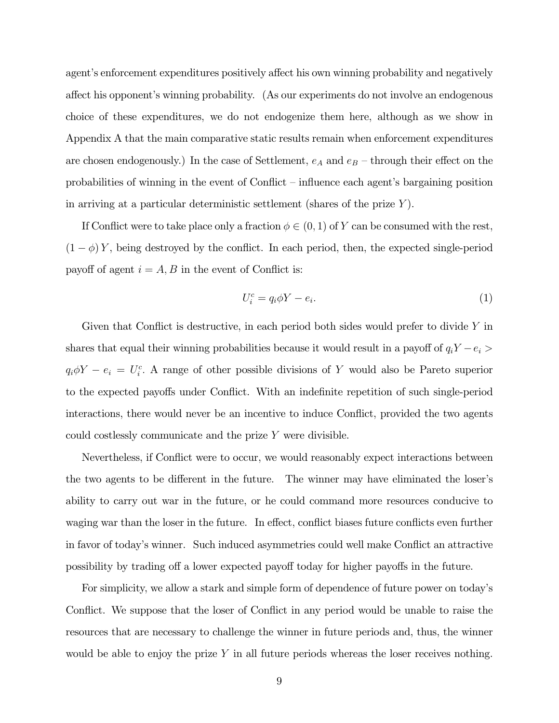agent's enforcement expenditures positively affect his own winning probability and negatively affect his opponent's winning probability. (As our experiments do not involve an endogenous choice of these expenditures, we do not endogenize them here, although as we show in Appendix A that the main comparative static results remain when enforcement expenditures are chosen endogenously.) In the case of Settlement,  $e_A$  and  $e_B$  – through their effect on the probabilities of winning in the event of Conflict — influence each agent's bargaining position in arriving at a particular deterministic settlement (shares of the prize  $\ Y$ ).

If Conflict were to take place only a fraction  $\phi \in (0,1)$  of Y can be consumed with the rest,  $(1 - \phi) Y$ , being destroyed by the conflict. In each period, then, the expected single-period payoff of agent  $i = A, B$  in the event of Conflict is:

$$
U_i^c = q_i \phi Y - e_i. \tag{1}
$$

Given that Conflict is destructive, in each period both sides would prefer to divide  $\overline{Y}$  in shares that equal their winning probabilities because it would result in a payoff of  $q_iY - e_i$  $q_i \phi Y - e_i = U_i^c$ . A range of other possible divisions of Y would also be Pareto superior to the expected payoffs under Conflict. With an indefinite repetition of such single-period interactions, there would never be an incentive to induce Conflict, provided the two agents could costlessly communicate and the prize  $\overline{Y}$  were divisible.

Nevertheless, if Conflict were to occur, we would reasonably expect interactions between the two agents to be different in the future. The winner may have eliminated the loser's ability to carry out war in the future, or he could command more resources conducive to waging war than the loser in the future. In effect, conflict biases future conflicts even further in favor of today's winner. Such induced asymmetries could well make Conflict an attractive possibility by trading off a lower expected payoff today for higher payoffs in the future.

For simplicity, we allow a stark and simple form of dependence of future power on today's Conflict. We suppose that the loser of Conflict in any period would be unable to raise the resources that are necessary to challenge the winner in future periods and, thus, the winner would be able to enjoy the prize  $\overline{Y}$  in all future periods whereas the loser receives nothing.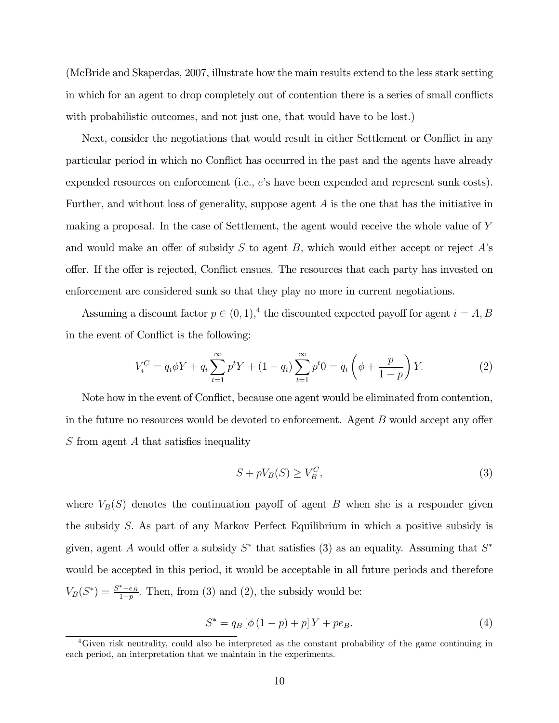(McBride and Skaperdas, 2007, illustrate how the main results extend to the less stark setting in which for an agent to drop completely out of contention there is a series of small conflicts with probabilistic outcomes, and not just one, that would have to be lost.)

Next, consider the negotiations that would result in either Settlement or Conflict in any particular period in which no Conflict has occurred in the past and the agents have already expended resources on enforcement (i.e.,  $e'$ s have been expended and represent sunk costs). Further, and without loss of generality, suppose agent  $A$  is the one that has the initiative in making a proposal. In the case of Settlement, the agent would receive the whole value of Y and would make an offer of subsidy S to agent B, which would either accept or reject  $A$ 's offer. If the offer is rejected, Conflict ensues. The resources that each party has invested on enforcement are considered sunk so that they play no more in current negotiations.

Assuming a discount factor  $p \in (0,1),^4$  the discounted expected payoff for agent  $i = A, B$ in the event of Conflict is the following:

$$
V_i^C = q_i \phi Y + q_i \sum_{t=1}^{\infty} p^t Y + (1 - q_i) \sum_{t=1}^{\infty} p^t 0 = q_i \left( \phi + \frac{p}{1 - p} \right) Y.
$$
 (2)

Note how in the event of Conflict, because one agent would be eliminated from contention, in the future no resources would be devoted to enforcement. Agent  $B$  would accept any offer  $S$  from agent  $A$  that satisfies inequality

$$
S + pV_B(S) \ge V_B^C,\tag{3}
$$

where  $V_B(S)$  denotes the continuation payoff of agent B when she is a responder given the subsidy S. As part of any Markov Perfect Equilibrium in which a positive subsidy is given, agent A would offer a subsidy  $S^*$  that satisfies (3) as an equality. Assuming that  $S^*$ would be accepted in this period, it would be acceptable in all future periods and therefore  $V_B(S^*) = \frac{S^*-e_B}{1-p}$ . Then, from (3) and (2), the subsidy would be:

$$
S^* = q_B [\phi (1 - p) + p] Y + p e_B.
$$
 (4)

<sup>&</sup>lt;sup>4</sup>Given risk neutrality, could also be interpreted as the constant probability of the game continuing in each period, an interpretation that we maintain in the experiments.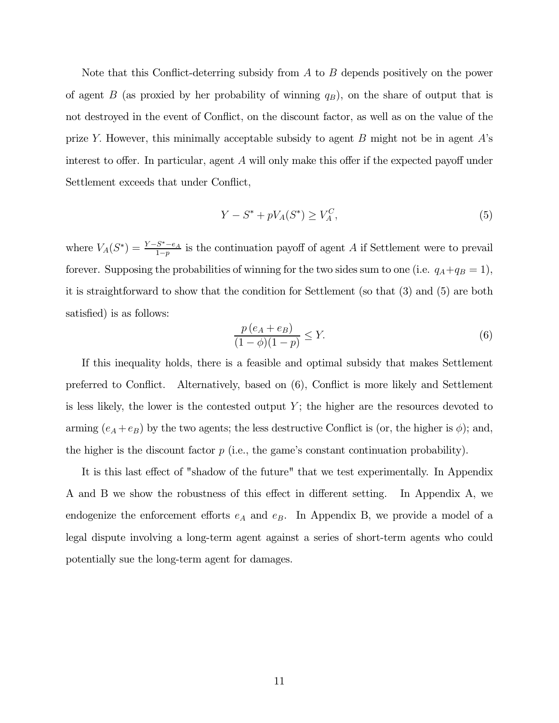Note that this Conflict-deterring subsidy from A to B depends positively on the power of agent B (as proxied by her probability of winning  $q_B$ ), on the share of output that is not destroyed in the event of Conflict, on the discount factor, as well as on the value of the prize Y. However, this minimally acceptable subsidy to agent  $B$  might not be in agent  $A$ 's interest to offer. In particular, agent  $A$  will only make this offer if the expected payoff under Settlement exceeds that under Conflict,

$$
Y - S^* + pV_A(S^*) \ge V_A^C,\tag{5}
$$

where  $V_A(S^*) = \frac{Y-S^*-e_A}{1-p}$  is the continuation payoff of agent A if Settlement were to prevail forever. Supposing the probabilities of winning for the two sides sum to one (i.e.  $q_A+q_B = 1$ ), it is straightforward to show that the condition for Settlement (so that (3) and (5) are both satisfied) is as follows:

$$
\frac{p\left(e_A + e_B\right)}{(1 - \phi)(1 - p)} \le Y. \tag{6}
$$

If this inequality holds, there is a feasible and optimal subsidy that makes Settlement preferred to Conflict. Alternatively, based on (6), Conflict is more likely and Settlement is less likely, the lower is the contested output  $\ Y;$  the higher are the resources devoted to arming  $(e_A + e_B)$  by the two agents; the less destructive Conflict is (or, the higher is  $\phi$ ); and, the higher is the discount factor  $p$  (i.e., the game's constant continuation probability).

It is this last effect of "shadow of the future" that we test experimentally. In Appendix A and B we show the robustness of this effect in different setting. In Appendix A, we endogenize the enforcement efforts  $e_A$  and  $e_B$ . In Appendix B, we provide a model of a legal dispute involving a long-term agent against a series of short-term agents who could potentially sue the long-term agent for damages.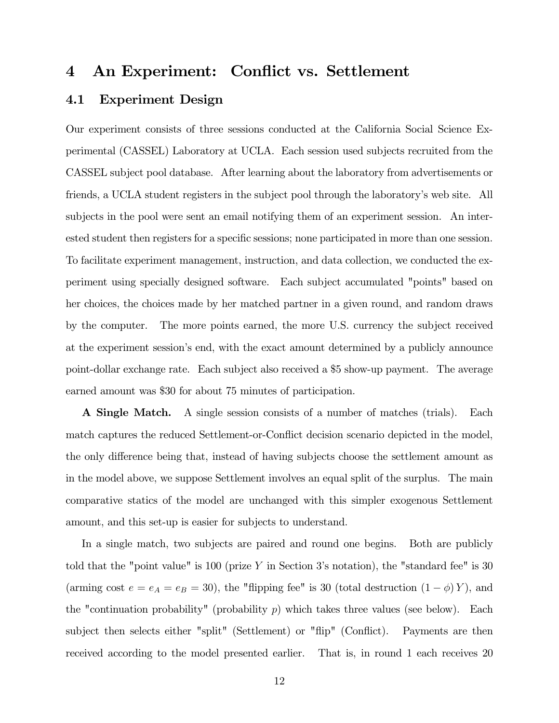### 4 An Experiment: Conflict vs. Settlement

### 4.1 Experiment Design

Our experiment consists of three sessions conducted at the California Social Science Experimental (CASSEL) Laboratory at UCLA. Each session used subjects recruited from the CASSEL subject pool database. After learning about the laboratory from advertisements or friends, a UCLA student registers in the subject pool through the laboratory's web site. All subjects in the pool were sent an email notifying them of an experiment session. An interested student then registers for a specific sessions; none participated in more than one session. To facilitate experiment management, instruction, and data collection, we conducted the experiment using specially designed software. Each subject accumulated "points" based on her choices, the choices made by her matched partner in a given round, and random draws by the computer. The more points earned, the more U.S. currency the subject received at the experiment session's end, with the exact amount determined by a publicly announce point-dollar exchange rate. Each subject also received a \$5 show-up payment. The average earned amount was \$30 for about 75 minutes of participation.

A Single Match. A single session consists of a number of matches (trials). Each match captures the reduced Settlement-or-Conflict decision scenario depicted in the model, the only difference being that, instead of having subjects choose the settlement amount as in the model above, we suppose Settlement involves an equal split of the surplus. The main comparative statics of the model are unchanged with this simpler exogenous Settlement amount, and this set-up is easier for subjects to understand.

In a single match, two subjects are paired and round one begins. Both are publicly told that the "point value" is 100 (prize  $\overline{Y}$  in Section 3's notation), the "standard fee" is 30 (arming cost  $e = e_A = e_B = 30$ ), the "flipping fee" is 30 (total destruction  $(1 - \phi) Y$ ), and the "continuation probability" (probability  $p$ ) which takes three values (see below). Each subject then selects either "split" (Settlement) or "flip" (Conflict). Payments are then received according to the model presented earlier. That is, in round 1 each receives 20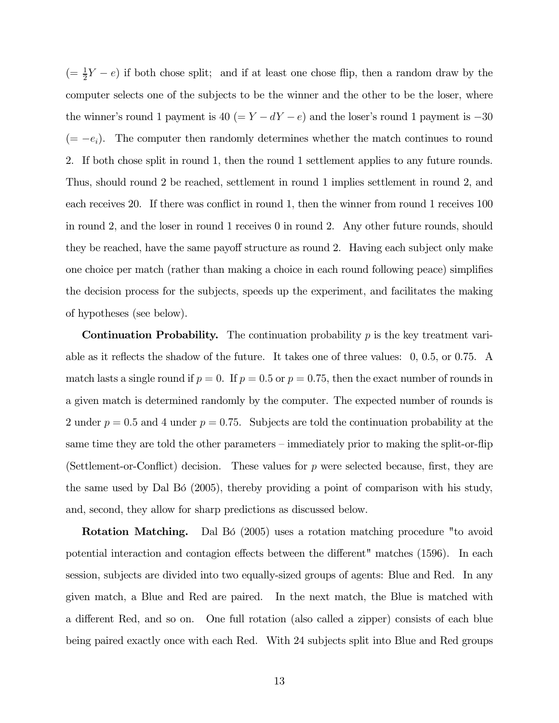$(=\frac{1}{2}Y - e)$  if both chose split; and if at least one chose flip, then a random draw by the computer selects one of the subjects to be the winner and the other to be the loser, where the winner's round 1 payment is  $40 (= Y - dY - e)$  and the loser's round 1 payment is  $-30$  $(= -e_i)$ . The computer then randomly determines whether the match continues to round 2. If both chose split in round 1, then the round 1 settlement applies to any future rounds. Thus, should round 2 be reached, settlement in round 1 implies settlement in round 2, and each receives 20. If there was conflict in round 1, then the winner from round 1 receives 100 in round 2, and the loser in round 1 receives 0 in round 2. Any other future rounds, should they be reached, have the same payoff structure as round 2. Having each subject only make one choice per match (rather than making a choice in each round following peace) simplifies the decision process for the subjects, speeds up the experiment, and facilitates the making of hypotheses (see below).

**Continuation Probability.** The continuation probability  $p$  is the key treatment variable as it reflects the shadow of the future. It takes one of three values: 0, 0.5, or 0.75. A match lasts a single round if  $p = 0$ . If  $p = 0.5$  or  $p = 0.75$ , then the exact number of rounds in a given match is determined randomly by the computer. The expected number of rounds is 2 under  $p = 0.5$  and 4 under  $p = 0.75$ . Subjects are told the continuation probability at the same time they are told the other parameters — immediately prior to making the split-or-flip (Settlement-or-Conflict) decision. These values for  $p$  were selected because, first, they are the same used by Dal Bó (2005), thereby providing a point of comparison with his study, and, second, they allow for sharp predictions as discussed below.

Rotation Matching. Dal Bó (2005) uses a rotation matching procedure "to avoid potential interaction and contagion effects between the different" matches (1596). In each session, subjects are divided into two equally-sized groups of agents: Blue and Red. In any given match, a Blue and Red are paired. In the next match, the Blue is matched with a different Red, and so on. One full rotation (also called a zipper) consists of each blue being paired exactly once with each Red. With 24 subjects split into Blue and Red groups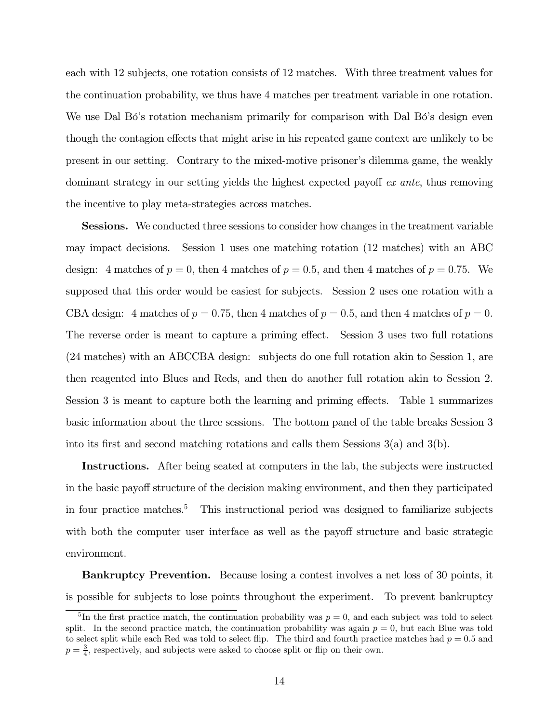each with 12 subjects, one rotation consists of 12 matches. With three treatment values for the continuation probability, we thus have 4 matches per treatment variable in one rotation. We use Dal Bó's rotation mechanism primarily for comparison with Dal Bó's design even though the contagion effects that might arise in his repeated game context are unlikely to be present in our setting. Contrary to the mixed-motive prisoner's dilemma game, the weakly dominant strategy in our setting yields the highest expected payoff  $ex$  ante, thus removing the incentive to play meta-strategies across matches.

Sessions. We conducted three sessions to consider how changes in the treatment variable may impact decisions. Session 1 uses one matching rotation (12 matches) with an ABC design: 4 matches of  $p = 0$ , then 4 matches of  $p = 0.5$ , and then 4 matches of  $p = 0.75$ . We supposed that this order would be easiest for subjects. Session 2 uses one rotation with a CBA design: 4 matches of  $p = 0.75$ , then 4 matches of  $p = 0.5$ , and then 4 matches of  $p = 0$ . The reverse order is meant to capture a priming effect. Session 3 uses two full rotations (24 matches) with an ABCCBA design: subjects do one full rotation akin to Session 1, are then reagented into Blues and Reds, and then do another full rotation akin to Session 2. Session 3 is meant to capture both the learning and priming effects. Table 1 summarizes basic information about the three sessions. The bottom panel of the table breaks Session 3 into its first and second matching rotations and calls them Sessions  $3(a)$  and  $3(b)$ .

Instructions. After being seated at computers in the lab, the subjects were instructed in the basic payoff structure of the decision making environment, and then they participated in four practice matches.<sup>5</sup> This instructional period was designed to familiarize subjects with both the computer user interface as well as the payoff structure and basic strategic environment.

**Bankruptcy Prevention.** Because losing a contest involves a net loss of 30 points, it is possible for subjects to lose points throughout the experiment. To prevent bankruptcy

<sup>&</sup>lt;sup>5</sup>In the first practice match, the continuation probability was  $p = 0$ , and each subject was told to select split. In the second practice match, the continuation probability was again  $p = 0$ , but each Blue was told to select split while each Red was told to select flip. The third and fourth practice matches had  $p = 0.5$  and  $p = \frac{3}{4}$ , respectively, and subjects were asked to choose split or flip on their own.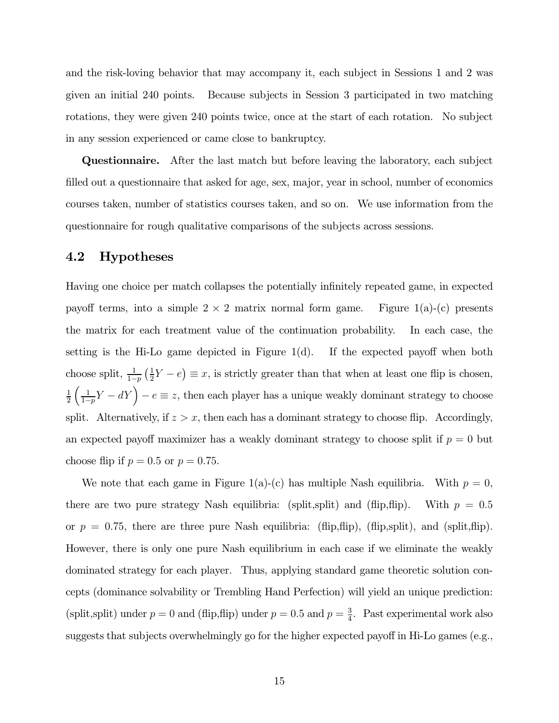and the risk-loving behavior that may accompany it, each subject in Sessions 1 and 2 was given an initial 240 points. Because subjects in Session 3 participated in two matching rotations, they were given 240 points twice, once at the start of each rotation. No subject in any session experienced or came close to bankruptcy.

Questionnaire. After the last match but before leaving the laboratory, each subject filled out a questionnaire that asked for age, sex, major, year in school, number of economics courses taken, number of statistics courses taken, and so on. We use information from the questionnaire for rough qualitative comparisons of the subjects across sessions.

### 4.2 Hypotheses

Having one choice per match collapses the potentially infinitely repeated game, in expected payoff terms, into a simple  $2 \times 2$  matrix normal form game. Figure 1(a)-(c) presents the matrix for each treatment value of the continuation probability. In each case, the setting is the Hi-Lo game depicted in Figure  $1(d)$ . If the expected payoff when both choose split,  $\frac{1}{1-p}$  $\frac{1}{1}$  $\frac{1}{2}Y-e$ ¢ hoose split,  $\frac{1}{1-p}(\frac{1}{2}Y-e) \equiv x$ , is strictly greater than that when at least one flip is chosen, 1  $\overline{2}$ 1  $\frac{1}{1-p}Y-dY$  –  $e \equiv z$ , then each player has a unique weakly dominant strategy to choose split. Alternatively, if  $z > x$ , then each has a dominant strategy to choose flip. Accordingly, an expected payoff maximizer has a weakly dominant strategy to choose split if  $p = 0$  but choose flip if  $p = 0.5$  or  $p = 0.75$ .

We note that each game in Figure 1(a)-(c) has multiple Nash equilibria. With  $p = 0$ , there are two pure strategy Nash equilibria: (split,split) and (flip,flip). With  $p = 0.5$ or  $p = 0.75$ , there are three pure Nash equilibria: (flip,flip), (flip,split), and (split,flip). However, there is only one pure Nash equilibrium in each case if we eliminate the weakly dominated strategy for each player. Thus, applying standard game theoretic solution concepts (dominance solvability or Trembling Hand Perfection) will yield an unique prediction: (split,split) under  $p = 0$  and (flip,flip) under  $p = 0.5$  and  $p = \frac{3}{4}$ . Past experimental work also suggests that subjects overwhelmingly go for the higher expected payoff in Hi-Lo games (e.g.,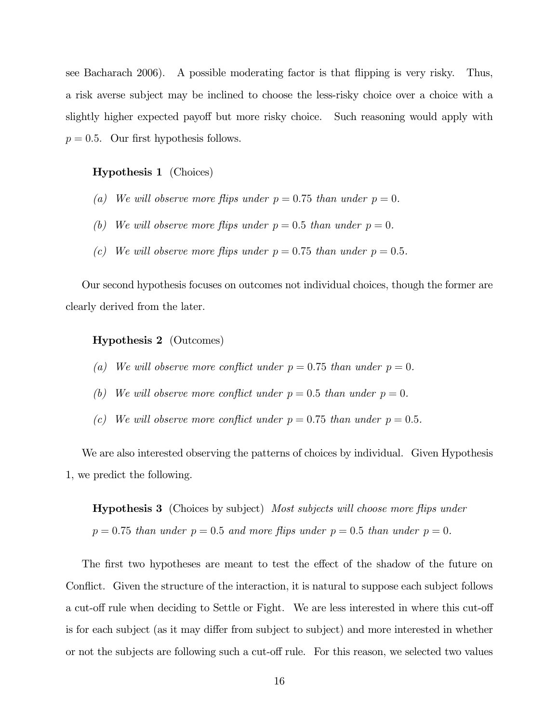see Bacharach 2006). A possible moderating factor is that flipping is very risky. Thus, a risk averse subject may be inclined to choose the less-risky choice over a choice with a slightly higher expected payoff but more risky choice. Such reasoning would apply with  $p = 0.5$ . Our first hypothesis follows.

### Hypothesis 1 (Choices)

- (a) We will observe more flips under  $p = 0.75$  than under  $p = 0$ .
- (b) We will observe more flips under  $p = 0.5$  than under  $p = 0$ .
- (c) We will observe more flips under  $p = 0.75$  than under  $p = 0.5$ .

Our second hypothesis focuses on outcomes not individual choices, though the former are clearly derived from the later.

### Hypothesis 2 (Outcomes)

- (a) We will observe more conflict under  $p = 0.75$  than under  $p = 0$ .
- (b) We will observe more conflict under  $p = 0.5$  than under  $p = 0$ .
- (c) We will observe more conflict under  $p = 0.75$  than under  $p = 0.5$ .

We are also interested observing the patterns of choices by individual. Given Hypothesis 1, we predict the following.

**Hypothesis 3** (Choices by subject) Most subjects will choose more flips under  $p = 0.75$  than under  $p = 0.5$  and more flips under  $p = 0.5$  than under  $p = 0$ .

The first two hypotheses are meant to test the effect of the shadow of the future on Conflict. Given the structure of the interaction, it is natural to suppose each subject follows a cut-off rule when deciding to Settle or Fight. We are less interested in where this cut-off is for each subject (as it may differ from subject to subject) and more interested in whether or not the subjects are following such a cut-off rule. For this reason, we selected two values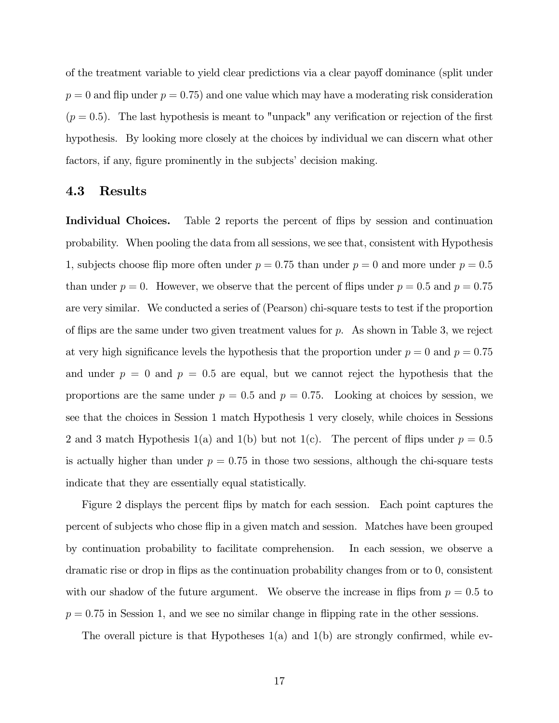of the treatment variable to yield clear predictions via a clear payoff dominance (split under  $p = 0$  and flip under  $p = 0.75$ ) and one value which may have a moderating risk consideration  $(p = 0.5)$ . The last hypothesis is meant to "unpack" any verification or rejection of the first hypothesis. By looking more closely at the choices by individual we can discern what other factors, if any, figure prominently in the subjects' decision making.

### 4.3 Results

Individual Choices. Table 2 reports the percent of flips by session and continuation probability. When pooling the data from all sessions, we see that, consistent with Hypothesis 1, subjects choose flip more often under  $p = 0.75$  than under  $p = 0$  and more under  $p = 0.5$ than under  $p = 0$ . However, we observe that the percent of flips under  $p = 0.5$  and  $p = 0.75$ are very similar. We conducted a series of (Pearson) chi-square tests to test if the proportion of flips are the same under two given treatment values for  $p$ . As shown in Table 3, we reject at very high significance levels the hypothesis that the proportion under  $p = 0$  and  $p = 0.75$ and under  $p = 0$  and  $p = 0.5$  are equal, but we cannot reject the hypothesis that the proportions are the same under  $p = 0.5$  and  $p = 0.75$ . Looking at choices by session, we see that the choices in Session 1 match Hypothesis 1 very closely, while choices in Sessions 2 and 3 match Hypothesis 1(a) and 1(b) but not 1(c). The percent of flips under  $p = 0.5$ is actually higher than under  $p = 0.75$  in those two sessions, although the chi-square tests indicate that they are essentially equal statistically.

Figure 2 displays the percent flips by match for each session. Each point captures the percent of subjects who chose flip in a given match and session. Matches have been grouped by continuation probability to facilitate comprehension. In each session, we observe a dramatic rise or drop in flips as the continuation probability changes from or to 0, consistent with our shadow of the future argument. We observe the increase in flips from  $p = 0.5$  to  $p = 0.75$  in Session 1, and we see no similar change in flipping rate in the other sessions.

The overall picture is that Hypotheses 1(a) and 1(b) are strongly confirmed, while ev-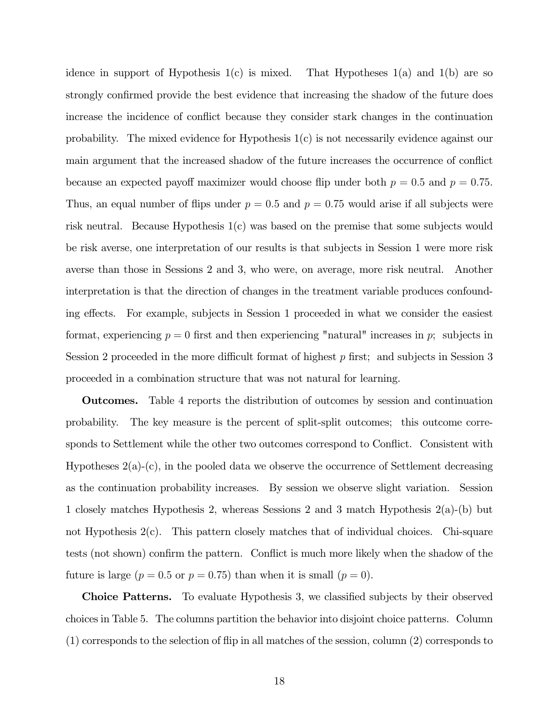idence in support of Hypothesis  $1(c)$  is mixed. That Hypotheses  $1(a)$  and  $1(b)$  are so strongly confirmed provide the best evidence that increasing the shadow of the future does increase the incidence of conflict because they consider stark changes in the continuation probability. The mixed evidence for Hypothesis 1(c) is not necessarily evidence against our main argument that the increased shadow of the future increases the occurrence of conflict because an expected payoff maximizer would choose flip under both  $p = 0.5$  and  $p = 0.75$ . Thus, an equal number of flips under  $p = 0.5$  and  $p = 0.75$  would arise if all subjects were risk neutral. Because Hypothesis 1(c) was based on the premise that some subjects would be risk averse, one interpretation of our results is that subjects in Session 1 were more risk averse than those in Sessions 2 and 3, who were, on average, more risk neutral. Another interpretation is that the direction of changes in the treatment variable produces confounding effects. For example, subjects in Session 1 proceeded in what we consider the easiest format, experiencing  $p = 0$  first and then experiencing "natural" increases in p; subjects in Session 2 proceeded in the more difficult format of highest  $p$  first; and subjects in Session 3 proceeded in a combination structure that was not natural for learning.

Outcomes. Table 4 reports the distribution of outcomes by session and continuation probability. The key measure is the percent of split-split outcomes; this outcome corresponds to Settlement while the other two outcomes correspond to Conflict. Consistent with Hypotheses  $2(a)-(c)$ , in the pooled data we observe the occurrence of Settlement decreasing as the continuation probability increases. By session we observe slight variation. Session 1 closely matches Hypothesis 2, whereas Sessions 2 and 3 match Hypothesis 2(a)-(b) but not Hypothesis 2(c). This pattern closely matches that of individual choices. Chi-square tests (not shown) confirm the pattern. Conflict is much more likely when the shadow of the future is large ( $p = 0.5$  or  $p = 0.75$ ) than when it is small ( $p = 0$ ).

Choice Patterns. To evaluate Hypothesis 3, we classified subjects by their observed choices in Table 5. The columns partition the behavior into disjoint choice patterns. Column (1) corresponds to the selection of flip in all matches of the session, column (2) corresponds to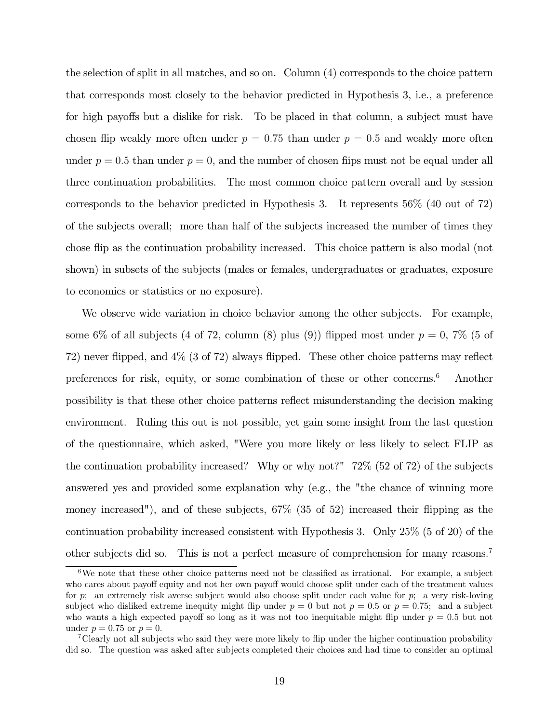the selection of split in all matches, and so on. Column (4) corresponds to the choice pattern that corresponds most closely to the behavior predicted in Hypothesis 3, i.e., a preference for high payoffs but a dislike for risk. To be placed in that column, a subject must have chosen flip weakly more often under  $p = 0.75$  than under  $p = 0.5$  and weakly more often under  $p = 0.5$  than under  $p = 0$ , and the number of chosen flips must not be equal under all three continuation probabilities. The most common choice pattern overall and by session corresponds to the behavior predicted in Hypothesis 3. It represents 56% (40 out of 72) of the subjects overall; more than half of the subjects increased the number of times they chose flip as the continuation probability increased. This choice pattern is also modal (not shown) in subsets of the subjects (males or females, undergraduates or graduates, exposure to economics or statistics or no exposure).

We observe wide variation in choice behavior among the other subjects. For example, some 6% of all subjects (4 of 72, column (8) plus (9)) flipped most under  $p = 0$ , 7% (5 of 72) never flipped, and 4% (3 of 72) always flipped. These other choice patterns may reflect preferences for risk, equity, or some combination of these or other concerns.6 Another possibility is that these other choice patterns reflect misunderstanding the decision making environment. Ruling this out is not possible, yet gain some insight from the last question of the questionnaire, which asked, "Were you more likely or less likely to select FLIP as the continuation probability increased? Why or why not?" 72% (52 of 72) of the subjects answered yes and provided some explanation why (e.g., the "the chance of winning more money increased"), and of these subjects, 67% (35 of 52) increased their flipping as the continuation probability increased consistent with Hypothesis 3. Only 25% (5 of 20) of the other subjects did so. This is not a perfect measure of comprehension for many reasons.7

 $6$ We note that these other choice patterns need not be classified as irrational. For example, a subject who cares about payoff equity and not her own payoff would choose split under each of the treatment values for p; an extremely risk averse subject would also choose split under each value for p; a very risk-loving subject who disliked extreme inequity might flip under  $p = 0$  but not  $p = 0.5$  or  $p = 0.75$ ; and a subject who wants a high expected payoff so long as it was not too inequitable might flip under  $p = 0.5$  but not under  $p = 0.75$  or  $p = 0$ .

<sup>7</sup>Clearly not all subjects who said they were more likely to flip under the higher continuation probability did so. The question was asked after subjects completed their choices and had time to consider an optimal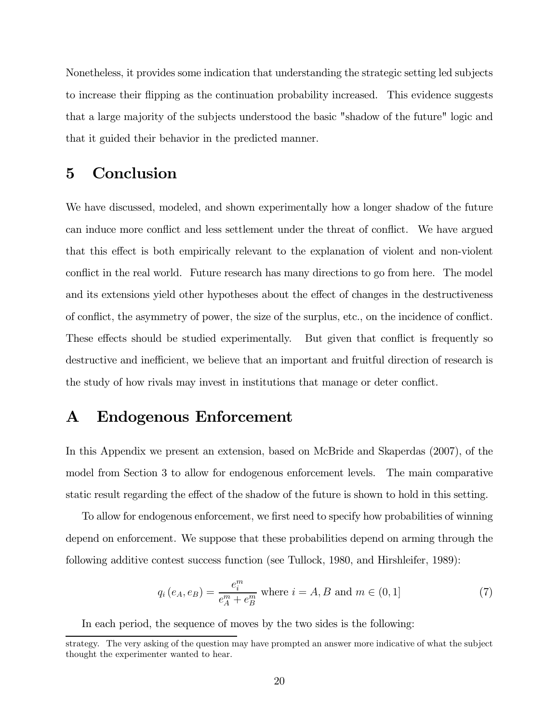Nonetheless, it provides some indication that understanding the strategic setting led subjects to increase their flipping as the continuation probability increased. This evidence suggests that a large majority of the subjects understood the basic "shadow of the future" logic and that it guided their behavior in the predicted manner.

### 5 Conclusion

We have discussed, modeled, and shown experimentally how a longer shadow of the future can induce more conflict and less settlement under the threat of conflict. We have argued that this effect is both empirically relevant to the explanation of violent and non-violent conflict in the real world. Future research has many directions to go from here. The model and its extensions yield other hypotheses about the effect of changes in the destructiveness of conflict, the asymmetry of power, the size of the surplus, etc., on the incidence of conflict. These effects should be studied experimentally. But given that conflict is frequently so destructive and inefficient, we believe that an important and fruitful direction of research is the study of how rivals may invest in institutions that manage or deter conflict.

### A Endogenous Enforcement

In this Appendix we present an extension, based on McBride and Skaperdas (2007), of the model from Section 3 to allow for endogenous enforcement levels. The main comparative static result regarding the effect of the shadow of the future is shown to hold in this setting.

To allow for endogenous enforcement, we first need to specify how probabilities of winning depend on enforcement. We suppose that these probabilities depend on arming through the following additive contest success function (see Tullock, 1980, and Hirshleifer, 1989):

$$
q_i(e_A, e_B) = \frac{e_i^m}{e_A^m + e_B^m} \text{ where } i = A, B \text{ and } m \in (0, 1]
$$
 (7)

In each period, the sequence of moves by the two sides is the following:

strategy. The very asking of the question may have prompted an answer more indicative of what the subject thought the experimenter wanted to hear.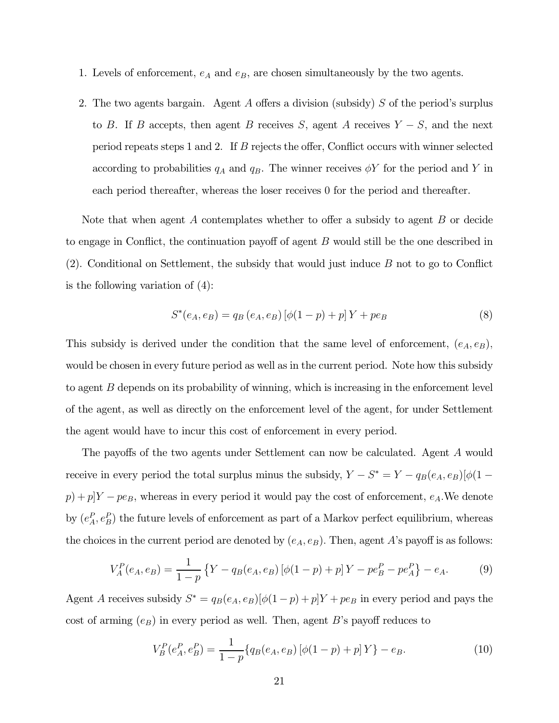- 1. Levels of enforcement,  $e_A$  and  $e_B$ , are chosen simultaneously by the two agents.
- 2. The two agents bargain. Agent A offers a division (subsidy) S of the period's surplus to B. If B accepts, then agent B receives S, agent A receives  $Y-S$ , and the next period repeats steps 1 and 2. If  $B$  rejects the offer, Conflict occurs with winner selected according to probabilities  $q_A$  and  $q_B$ . The winner receives  $\phi Y$  for the period and Y in each period thereafter, whereas the loser receives 0 for the period and thereafter.

Note that when agent  $A$  contemplates whether to offer a subsidy to agent  $B$  or decide to engage in Conflict, the continuation payoff of agent  $B$  would still be the one described in  $(2)$ . Conditional on Settlement, the subsidy that would just induce  $B$  not to go to Conflict is the following variation of (4):

$$
S^*(e_A, e_B) = q_B(e_A, e_B) [\phi(1-p) + p] Y + p e_B
$$
\n(8)

This subsidy is derived under the condition that the same level of enforcement,  $(e_A, e_B)$ , would be chosen in every future period as well as in the current period. Note how this subsidy to agent  $B$  depends on its probability of winning, which is increasing in the enforcement level of the agent, as well as directly on the enforcement level of the agent, for under Settlement the agent would have to incur this cost of enforcement in every period.

The payoffs of the two agents under Settlement can now be calculated. Agent A would receive in every period the total surplus minus the subsidy,  $Y-S^*=Y-q_B(e_A,e_B)[\phi(1-\frac{1}{2}e_{B})]$  $s(p) + p[Y - pe_B$ , whereas in every period it would pay the cost of enforcement,  $e_A$ . We denote by  $(e_A^P, e_B^P)$  the future levels of enforcement as part of a Markov perfect equilibrium, whereas the choices in the current period are denoted by  $(e_A, e_B)$ . Then, agent A's payoff is as follows:

$$
V_A^P(e_A, e_B) = \frac{1}{1-p} \left\{ Y - q_B(e_A, e_B) \left[ \phi(1-p) + p \right] Y - pe_B^P - pe_A^P \right\} - e_A. \tag{9}
$$

Agent A receives subsidy  $S^* = q_B(e_A, e_B)[\phi(1-p) + p]Y + pe_B$  in every period and pays the cost of arming  $(e_B)$  in every period as well. Then, agent  $B$ 's payoff reduces to

$$
V_B^P(e_A^P, e_B^P) = \frac{1}{1-p} \{ q_B(e_A, e_B) \left[ \phi(1-p) + p \right] Y \} - e_B.
$$
 (10)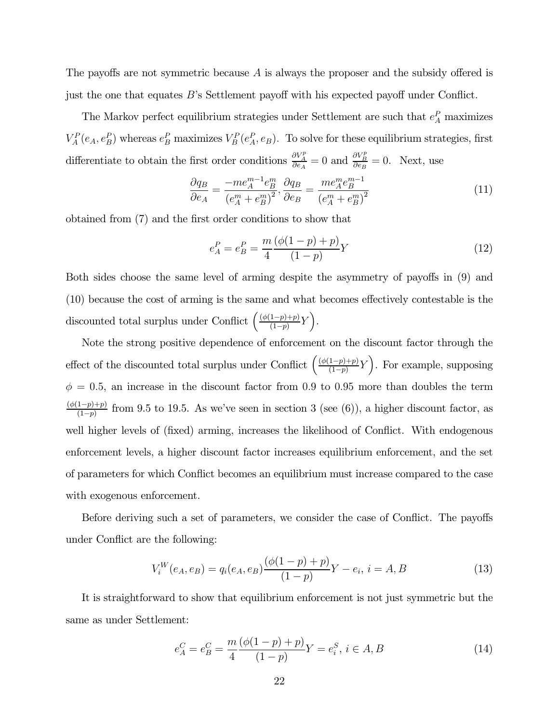The payoffs are not symmetric because  $A$  is always the proposer and the subsidy offered is just the one that equates  $B$ 's Settlement payoff with his expected payoff under Conflict.

The Markov perfect equilibrium strategies under Settlement are such that  $e_A^P$  maximizes  $V_A^P(e_A, e_B^P)$  whereas  $e_B^P$  maximizes  $V_B^P(e_A^P, e_B)$ . To solve for these equilibrium strategies, first differentiate to obtain the first order conditions  $\frac{\partial V_A^p}{\partial e_A} = 0$  and  $\frac{\partial V_B^p}{\partial e_B} = 0$ . Next, use

$$
\frac{\partial q_B}{\partial e_A} = \frac{-me_A^{m-1}e_B^m}{\left(e_A^m + e_B^m\right)^2}, \frac{\partial q_B}{\partial e_B} = \frac{me_A^m e_B^{m-1}}{\left(e_A^m + e_B^m\right)^2} \tag{11}
$$

obtained from (7) and the first order conditions to show that

$$
e_A^P = e_B^P = \frac{m(\phi(1-p) + p)}{1 - p} Y \tag{12}
$$

Both sides choose the same level of arming despite the asymmetry of payoffs in (9) and  $(10)$  because the cost of arming is the same and what becomes effectively contestable is the discounted total surplus under Conflict  $\left( \frac{\left( \phi(1-p)+p \right)}{(1-p)} Y \right)$ .

Note the strong positive dependence of enforcement on the discount factor through the effect of the discounted total surplus under Conflict  $\left( \frac{(\phi(1-p)+p)}{(1-p)} Y \right)$ . For example, supposing  $\phi = 0.5$ , an increase in the discount factor from 0.9 to 0.95 more than doubles the term  $\frac{(\phi(1-p)+p)}{(1-p)}$  from 9.5 to 19.5. As we've seen in section 3 (see (6)), a higher discount factor, as well higher levels of (fixed) arming, increases the likelihood of Conflict. With endogenous enforcement levels, a higher discount factor increases equilibrium enforcement, and the set of parameters for which Conflict becomes an equilibrium must increase compared to the case with exogenous enforcement.

Before deriving such a set of parameters, we consider the case of Conflict. The payoffs under Conflict are the following:

$$
V_i^W(e_A, e_B) = q_i(e_A, e_B) \frac{(\phi(1-p) + p)}{(1-p)} Y - e_i, i = A, B
$$
\n(13)

It is straightforward to show that equilibrium enforcement is not just symmetric but the same as under Settlement:

$$
e_A^C = e_B^C = \frac{m(\phi(1-p) + p)}{1 - p} Y = e_i^S, \ i \in A, B
$$
\n(14)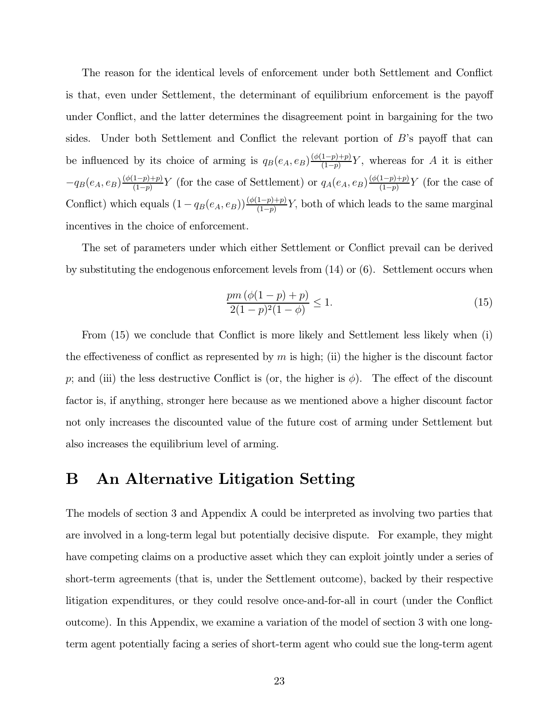The reason for the identical levels of enforcement under both Settlement and Conflict is that, even under Settlement, the determinant of equilibrium enforcement is the payo under Conflict, and the latter determines the disagreement point in bargaining for the two sides. Under both Settlement and Conflict the relevant portion of  $B$ 's payoff that can be influenced by its choice of arming is  $q_B(e_A, e_B) \frac{(\phi(1-p)+p)}{(1-p)} Y$ , whereas for A it is either  $-q_B(e_A, e_B) \frac{(\phi(1-p)+p)}{(1-p)} Y$  (for the case of Settlement) or  $q_A(e_A, e_B) \frac{(\phi(1-p)+p)}{(1-p)} Y$  (for the case of Conflict) which equals  $(1 - q_B(e_A, e_B)) \frac{(\phi(1-p)+p)}{(1-p)} Y$ , both of which leads to the same marginal incentives in the choice of enforcement.

The set of parameters under which either Settlement or Conflict prevail can be derived by substituting the endogenous enforcement levels from (14) or (6). Settlement occurs when

$$
\frac{pm(\phi(1-p)+p)}{2(1-p)^2(1-\phi)} \le 1.
$$
\n(15)

From (15) we conclude that Conflict is more likely and Settlement less likely when (i) the effectiveness of conflict as represented by  $m$  is high; (ii) the higher is the discount factor p; and (iii) the less destructive Conflict is (or, the higher is  $\phi$ ). The effect of the discount factor is, if anything, stronger here because as we mentioned above a higher discount factor not only increases the discounted value of the future cost of arming under Settlement but also increases the equilibrium level of arming.

### B An Alternative Litigation Setting

The models of section 3 and Appendix A could be interpreted as involving two parties that are involved in a long-term legal but potentially decisive dispute. For example, they might have competing claims on a productive asset which they can exploit jointly under a series of short-term agreements (that is, under the Settlement outcome), backed by their respective litigation expenditures, or they could resolve once-and-for-all in court (under the Conflict outcome). In this Appendix, we examine a variation of the model of section 3 with one longterm agent potentially facing a series of short-term agent who could sue the long-term agent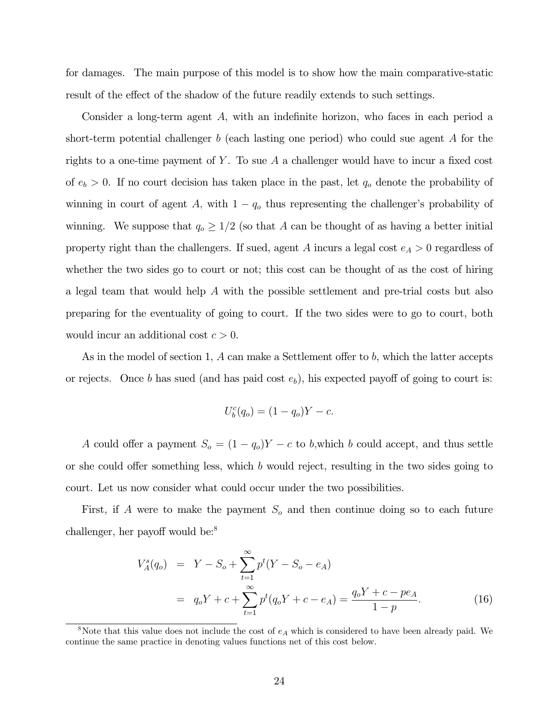for damages. The main purpose of this model is to show how the main comparative-static result of the effect of the shadow of the future readily extends to such settings.

Consider a long-term agent  $A$ , with an indefinite horizon, who faces in each period a short-term potential challenger  $b$  (each lasting one period) who could sue agent  $\Lambda$  for the rights to a one-time payment of  $\overline{Y}$ . To sue  $\overline{A}$  a challenger would have to incur a fixed cost of  $e_b > 0$ . If no court decision has taken place in the past, let  $q_o$  denote the probability of winning in court of agent A, with  $1 - q_0$  thus representing the challenger's probability of winning. We suppose that  $q_o \ge 1/2$  (so that A can be thought of as having a better initial property right than the challengers. If sued, agent  $A$  incurs a legal cost  $e_A > 0$  regardless of whether the two sides go to court or not; this cost can be thought of as the cost of hiring a legal team that would help  $\Lambda$  with the possible settlement and pre-trial costs but also preparing for the eventuality of going to court. If the two sides were to go to court, both would incur an additional cost  $c > 0$ .

As in the model of section 1, A can make a Settlement offer to b, which the latter accepts or rejects. Once b has sued (and has paid cost  $e<sub>b</sub>$ ), his expected payoff of going to court is:

$$
U_b^c(q_o) = (1 - q_o)Y - c.
$$

A could offer a payment  $S_o = (1 - q_o)Y - c$  to b, which b could accept, and thus settle or she could offer something less, which  $b$  would reject, resulting in the two sides going to court. Let us now consider what could occur under the two possibilities.

First, if A were to make the payment  $S<sub>o</sub>$  and then continue doing so to each future challenger, her payoff would be:<sup>8</sup>

$$
V_A^s(q_o) = Y - S_o + \sum_{t=1}^{\infty} p^t (Y - S_o - e_A)
$$
  
=  $q_o Y + c + \sum_{t=1}^{\infty} p^t (q_o Y + c - e_A) = \frac{q_o Y + c - pe_A}{1 - p}.$  (16)

<sup>&</sup>lt;sup>8</sup>Note that this value does not include the cost of  $e_A$  which is considered to have been already paid. We continue the same practice in denoting values functions net of this cost below.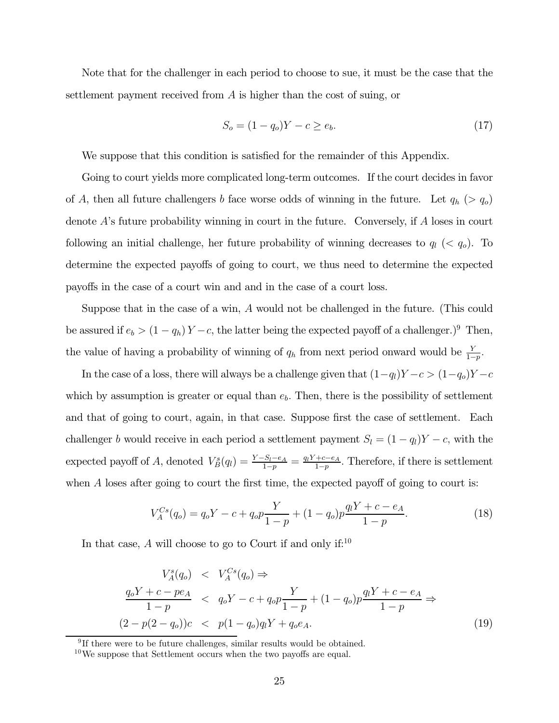Note that for the challenger in each period to choose to sue, it must be the case that the settlement payment received from  $A$  is higher than the cost of suing, or

$$
S_o = (1 - q_o)Y - c \ge e_b.
$$
\n(17)

We suppose that this condition is satisfied for the remainder of this Appendix.

Going to court yields more complicated long-term outcomes. If the court decides in favor of A, then all future challengers b face worse odds of winning in the future. Let  $q_h$  ( $> q_o$ ) denote  $A$ 's future probability winning in court in the future. Conversely, if  $A$  loses in court following an initial challenge, her future probability of winning decreases to  $q_l$  (<  $q_o$ ). To determine the expected payoffs of going to court, we thus need to determine the expected payoffs in the case of a court win and and in the case of a court loss.

Suppose that in the case of a win,  $\tilde{A}$  would not be challenged in the future. (This could be assured if  $e_b > (1 - q_h) Y - c$ , the latter being the expected payoff of a challenger.)<sup>9</sup> Then, the value of having a probability of winning of  $q_h$  from next period onward would be  $\frac{Y}{1-p}$ .

In the case of a loss, there will always be a challenge given that  $(1-q_l)Y-c > (1-q_o)Y-c$ which by assumption is greater or equal than  $e<sub>b</sub>$ . Then, there is the possibility of settlement and that of going to court, again, in that case. Suppose first the case of settlement. Each challenger b would receive in each period a settlement payment  $S_l = (1 - q_l)Y - c$ , with the expected payoff of A, denoted  $V_B^s(q_l) = \frac{Y-S_l-e_A}{1-p} = \frac{q_l Y + c - e_A}{1-p}$ . Therefore, if there is settlement when  $\tilde{A}$  loses after going to court the first time, the expected payoff of going to court is:

$$
V_A^{Cs}(q_o) = q_o Y - c + q_o p \frac{Y}{1 - p} + (1 - q_o) p \frac{q_l Y + c - e_A}{1 - p}.
$$
\n(18)

In that case, A will choose to go to Court if and only if: $10$ 

$$
V_A^s(q_o) < V_A^{Cs}(q_o) \Rightarrow
$$
\n
$$
\frac{q_o Y + c - pe_A}{1 - p} < q_o Y - c + q_o p \frac{Y}{1 - p} + (1 - q_o) p \frac{q_l Y + c - e_A}{1 - p} \Rightarrow
$$
\n
$$
(2 - p(2 - q_o))c < p(1 - q_o) q_l Y + q_o e_A. \tag{19}
$$

<sup>&</sup>lt;sup>9</sup>If there were to be future challenges, similar results would be obtained.

 $10$ We suppose that Settlement occurs when the two payoffs are equal.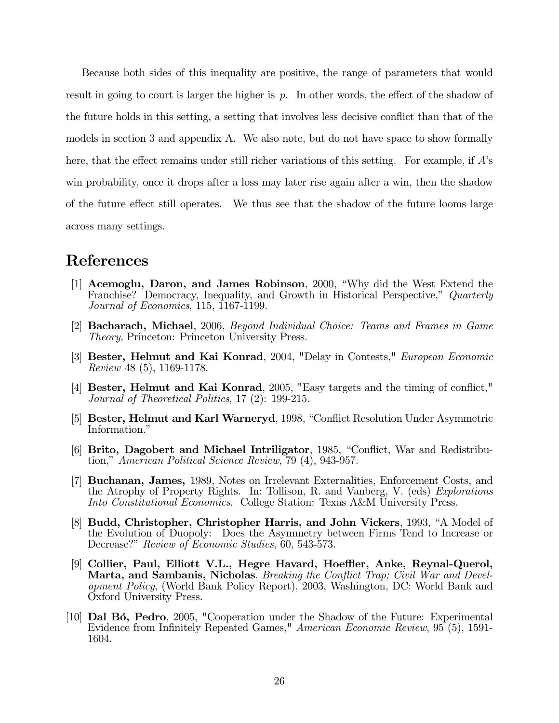Because both sides of this inequality are positive, the range of parameters that would result in going to court is larger the higher is  $p$ . In other words, the effect of the shadow of the future holds in this setting, a setting that involves less decisive conflict than that of the models in section 3 and appendix A. We also note, but do not have space to show formally here, that the effect remains under still richer variations of this setting. For example, if  $A$ 's win probability, once it drops after a loss may later rise again after a win, then the shadow of the future effect still operates. We thus see that the shadow of the future looms large across many settings.

### References

- [1] Acemoglu, Daron, and James Robinson, 2000, "Why did the West Extend the Franchise? Democracy, Inequality, and Growth in Historical Perspective," Quarterly Journal of Economics, 115, 1167-1199.
- [2] Bacharach, Michael, 2006, Beyond Individual Choice: Teams and Frames in Game Theory, Princeton: Princeton University Press.
- [3] Bester, Helmut and Kai Konrad, 2004, "Delay in Contests," European Economic Review 48 (5), 1169-1178.
- [4] Bester, Helmut and Kai Konrad, 2005, "Easy targets and the timing of conflict," Journal of Theoretical Politics, 17 (2): 199-215.
- [5] Bester, Helmut and Karl Warneryd, 1998, "Conflict Resolution Under Asymmetric Information."
- [6] Brito, Dagobert and Michael Intriligator, 1985, "Conflict, War and Redistribution," American Political Science Review, 79 (4), 943-957.
- [7] Buchanan, James, 1989, Notes on Irrelevant Externalities, Enforcement Costs, and the Atrophy of Property Rights. In: Tollison, R. and Vanberg, V. (eds) Explorations Into Constitutional Economics. College Station: Texas A&M University Press.
- [8] Budd, Christopher, Christopher Harris, and John Vickers, 1993, "A Model of the Evolution of Duopoly: Does the Asymmetry between Firms Tend to Increase or Decrease?" Review of Economic Studies, 60, 543-573.
- [9] Collier, Paul, Elliott V.L., Hegre Havard, Hoeffler, Anke, Reynal-Querol, Marta, and Sambanis, Nicholas, Breaking the Conflict Trap; Civil War and Development Policy, (World Bank Policy Report), 2003, Washington, DC: World Bank and Oxford University Press.
- [10] Dal Bó, Pedro, 2005, "Cooperation under the Shadow of the Future: Experimental Evidence from Infinitely Repeated Games," American Economic Review, 95 (5), 1591- 1604.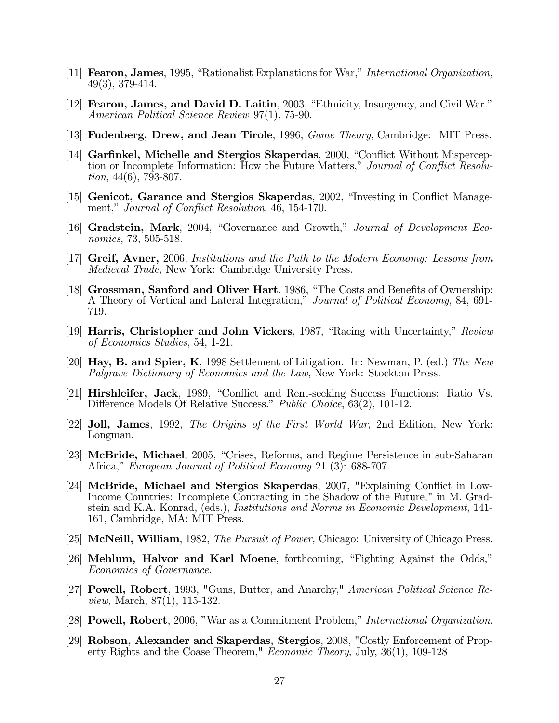- [11] Fearon, James, 1995, "Rationalist Explanations for War," International Organization, 49(3), 379-414.
- [12] Fearon, James, and David D. Laitin, 2003, "Ethnicity, Insurgency, and Civil War." American Political Science Review 97(1), 75-90.
- [13] **Fudenberg, Drew, and Jean Tirole**, 1996, *Game Theory*, Cambridge: MIT Press.
- [14] Garfinkel, Michelle and Stergios Skaperdas, 2000, "Conflict Without Misperception or Incomplete Information: How the Future Matters," Journal of Conflict Resolution, 44(6), 793-807.
- [15] Genicot, Garance and Stergios Skaperdas, 2002, "Investing in Conflict Management," Journal of Conflict Resolution, 46, 154-170.
- [16] Gradstein, Mark, 2004, "Governance and Growth," Journal of Development Economics, 73, 505-518.
- [17] Greif, Avner, 2006, Institutions and the Path to the Modern Economy: Lessons from Medieval Trade, New York: Cambridge University Press.
- [18] Grossman, Sanford and Oliver Hart, 1986, "The Costs and Benefits of Ownership: A Theory of Vertical and Lateral Integration," Journal of Political Economy, 84, 691- 719.
- [19] Harris, Christopher and John Vickers, 1987, "Racing with Uncertainty," Review of Economics Studies, 54, 1-21.
- [20] Hay, B. and Spier, K, 1998 Settlement of Litigation. In: Newman, P. (ed.) The New Palgrave Dictionary of Economics and the Law, New York: Stockton Press.
- [21] Hirshleifer, Jack, 1989, "Conflict and Rent-seeking Success Functions: Ratio Vs. Difference Models Of Relative Success." Public Choice, 63(2), 101-12.
- [22] Joll, James, 1992, The Origins of the First World War, 2nd Edition, New York: Longman.
- [23] McBride, Michael, 2005, "Crises, Reforms, and Regime Persistence in sub-Saharan Africa," European Journal of Political Economy 21 (3): 688-707.
- [24] McBride, Michael and Stergios Skaperdas, 2007, "Explaining Conflict in Low-Income Countries: Incomplete Contracting in the Shadow of the Future," in M. Gradstein and K.A. Konrad, (eds.), Institutions and Norms in Economic Development, 141- 161, Cambridge, MA: MIT Press.
- [25] McNeill, William, 1982, The Pursuit of Power, Chicago: University of Chicago Press.
- [26] Mehlum, Halvor and Karl Moene, forthcoming, "Fighting Against the Odds," Economics of Governance.
- [27] **Powell, Robert**, 1993, "Guns, Butter, and Anarchy," American Political Science Review, March, 87(1), 115-132.
- [28] Powell, Robert, 2006, "War as a Commitment Problem," International Organization.
- [29] Robson, Alexander and Skaperdas, Stergios, 2008, "Costly Enforcement of Property Rights and the Coase Theorem," Economic Theory, July, 36(1), 109-128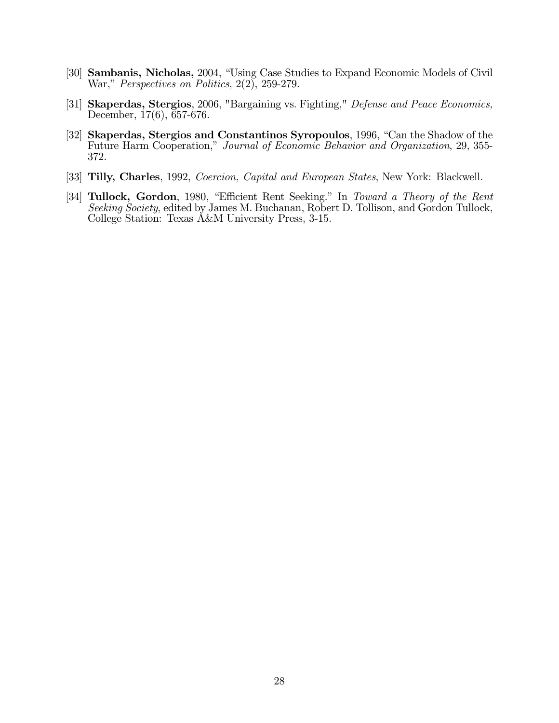- [30] Sambanis, Nicholas, 2004, "Using Case Studies to Expand Economic Models of Civil War," *Perspectives on Politics*, 2(2), 259-279.
- [31] Skaperdas, Stergios, 2006, "Bargaining vs. Fighting," Defense and Peace Economics, December, 17(6), 657-676.
- [32] Skaperdas, Stergios and Constantinos Syropoulos, 1996, "Can the Shadow of the Future Harm Cooperation," Journal of Economic Behavior and Organization, 29, 355- 372.
- [33] Tilly, Charles, 1992, Coercion, Capital and European States, New York: Blackwell.
- [34] Tullock, Gordon, 1980, "Efficient Rent Seeking." In Toward a Theory of the Rent Seeking Society, edited by James M. Buchanan, Robert D. Tollison, and Gordon Tullock, College Station: Texas A&M University Press, 3-15.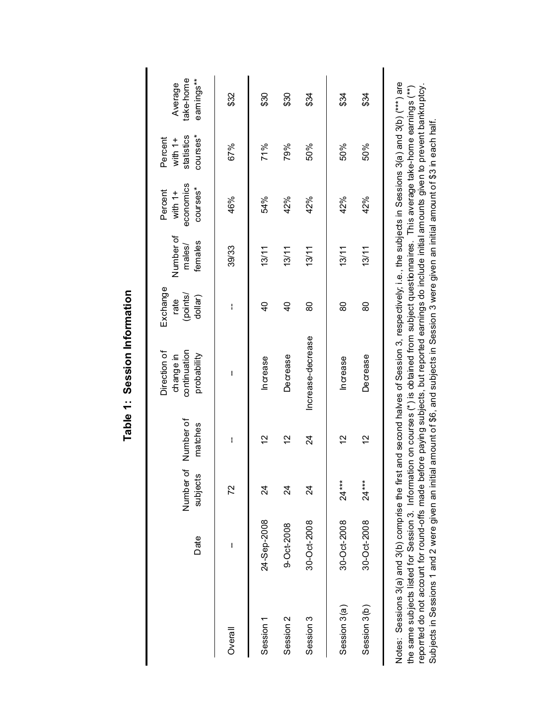|                      | Date        | 'ত<br>subjects<br>Number | Number of<br>matches | Direction of<br>continuation<br>probability<br>change in | Exchange<br>(points/<br>dollar)<br>rate | Number of<br>females<br>males/ | economics<br>courses*<br>Percent<br>with $1+$ | courses*<br>statistics<br>Percent<br>with $1+$ | take-home<br>earnings**<br>Average |
|----------------------|-------------|--------------------------|----------------------|----------------------------------------------------------|-----------------------------------------|--------------------------------|-----------------------------------------------|------------------------------------------------|------------------------------------|
| Overall              | I           | 72                       | I                    | I                                                        | I                                       | 39/33                          | 46%                                           | 67%                                            | \$32                               |
| Session 1            | 24-Sep-2008 | র                        | 2                    | Increase                                                 | $\frac{1}{2}$                           | 13/11                          | 54%                                           | 71%                                            | \$30                               |
| Session <sub>2</sub> | 9-Oct-2008  | $\overline{2}$           | 2                    | Decrease                                                 | $\overline{6}$                          | 13/11                          | 42%                                           | 79%                                            | \$30                               |
| Session 3            | 30-Oct-2008 | $\overline{2}$           | $\overline{24}$      | Increase-decrease                                        | 80                                      | 13/11                          | 42%                                           | 50%                                            | \$34                               |
| Session 3(a)         | 30-Oct-2008 | $24***$                  | $\frac{2}{3}$        | Increase                                                 | 80                                      | 13/11                          | 42%                                           | 50%                                            | \$34                               |
| Session 3(b)         | 30-Oct-2008 | $24***$                  | 57                   | Decrease                                                 | 80                                      | 13/11                          | 42%                                           | 50%                                            | \$34                               |
|                      |             |                          |                      |                                                          |                                         |                                |                                               |                                                |                                    |

Table 1: Session Information **Table 1: Session Information**

Notes: Sessions 3(a) and 3(b) comprise the first and second halves of Session 3, respectively; i.e., the subjects in Sessions 3(a) and 3(b) (\*\*\*) are Notes: Sessions 3(a) and 3(b) comprise the first and second halves of Session 3, respectively; i.e., the subjects in Sessions 3(a) and 3(b) (\*\*\*) are the same subjects listed for Session 3. Information on courses (\*) is obtained from subject questionnaires. This average take-home earnings (\*\*)<br>reporrted do not account for round-offs made before paying subjects, but repo reporrted do not account for round-offs made before paying subjects, but reported earnings do include initial amounts given to prevent bankruptcy. the same subjects listed for Session 3. Information on courses (\*) is obtained from subject questionnaires. This average take-home earnings (\*\*) Subjects in Sessions 1 and 2 were given an initial amount of \$6, and subjects in Session 3 were given an initial amount of \$3 in each half. Subjects in Sessions 1 and 2 were given an initial amount of \$6, and subjects in Session 3 were given an initial amount of \$3 in each half.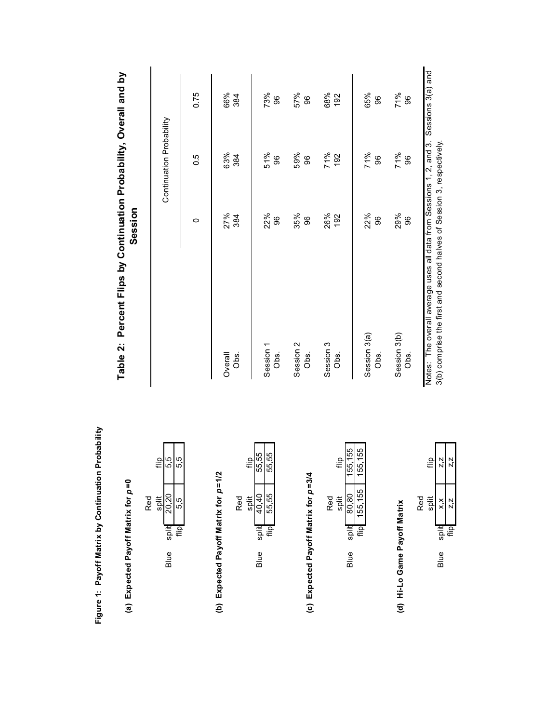|                                                     | Table 2: Percent Flips by C        |
|-----------------------------------------------------|------------------------------------|
| Figure 1: Payoff Matrix by Continuation Probability | (a) Expected Payoff Matrix for p=0 |



## (b) Expected Payoff Matrix for p=1/2 **(b) Expected Payoff Matrix for** *p* **=1/2**

|     | <u>۾:</u> | 55,55         | 55.55    |  |
|-----|-----------|---------------|----------|--|
| Red | split     | 40.40         | 55.55    |  |
|     |           | spit          | <u>۾</u> |  |
|     |           | $\frac{9}{2}$ |          |  |

## (c) Expected Payoff Matrix for  $p=3/4$ **(c) Expected Payoff Matrix for** *p* **=3/4**

|            | ءِ⊫   | 55<br>ũ | 55.155  |  |
|------------|-------|---------|---------|--|
| <b>Red</b> | split | 80.80   | 155,155 |  |
|            |       | split   |         |  |
|            |       | ≝       |         |  |

### (d) Hi-Lo Game Payoff Matrix **(d) Hi-Lo Game Payoff Matrix**



# continuation Probability, Overall and by **Table 2: Percent Flips by Continuation Probability, Overall and by Session**

|                                                                                                                                              |     | Continuation Probability |                   |
|----------------------------------------------------------------------------------------------------------------------------------------------|-----|--------------------------|-------------------|
|                                                                                                                                              | 0   | 0.5                      | 0.75              |
| Overall                                                                                                                                      | 27% | 63%                      | 66%               |
| O <sub>bs.</sub>                                                                                                                             | 384 | 384                      | 384               |
| Session 1                                                                                                                                    | 22% | 51%                      | 73%               |
| O <sub>bs</sub>                                                                                                                              | 86  | 96                       | 96                |
| Session 2                                                                                                                                    | 35% | 59%                      | 57%               |
| Obs.                                                                                                                                         | 96  | 96                       | 96                |
| Session 3                                                                                                                                    | 26% | 71%                      | 68%               |
| Obs.                                                                                                                                         | 192 | 192                      | 192               |
| Session 3(a)                                                                                                                                 | 22% | 71%                      | 65%               |
| Obs.                                                                                                                                         | 8   | 96                       | 96                |
| Session 3(b)                                                                                                                                 | 29% | 71%<br>96                | 71%               |
| Obs.                                                                                                                                         | 96  |                          | 96                |
| Notes: The overall average uses all data from Sessions 1, 2, and 3.<br>3(b) comprise the first and second halves of Session 3, respectively. |     |                          | Sessions 3(a) and |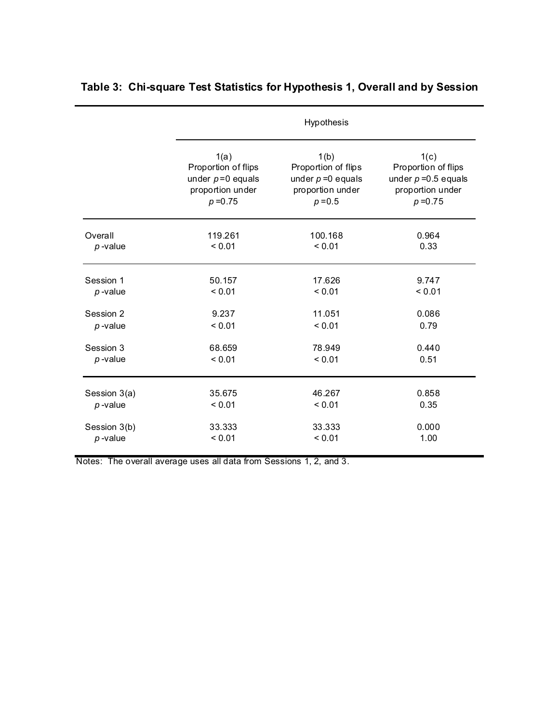|              |                     | Hypothesis           |                        |
|--------------|---------------------|----------------------|------------------------|
|              | 1(a)                | 1(b)                 | 1(c)                   |
|              | Proportion of flips | Proportion of flips  | Proportion of flips    |
|              | under $p=0$ equals  | under $p = 0$ equals | under $p = 0.5$ equals |
|              | proportion under    | proportion under     | proportion under       |
|              | $p = 0.75$          | $p = 0.5$            | $p = 0.75$             |
| Overall      | 119.261             | 100.168              | 0.964                  |
| $p$ -value   | < 0.01              | < 0.01               | 0.33                   |
| Session 1    | 50.157              | 17.626               | 9.747                  |
| $p$ -value   | < 0.01              | < 0.01               | < 0.01                 |
| Session 2    | 9.237               | 11.051               | 0.086                  |
| $p$ -value   | < 0.01              | < 0.01               | 0.79                   |
| Session 3    | 68.659              | 78.949               | 0.440                  |
| $p$ -value   | < 0.01              | < 0.01               | 0.51                   |
| Session 3(a) | 35.675              | 46.267               | 0.858                  |
| $p$ -value   | < 0.01              | < 0.01               | 0.35                   |
| Session 3(b) | 33.333              | 33.333               | 0.000                  |
| $p$ -value   | < 0.01              | < 0.01               | 1.00                   |

### **Table 3: Chi-square Test Statistics for Hypothesis 1, Overall and by Session**

Notes: The overall average uses all data from Sessions 1, 2, and 3.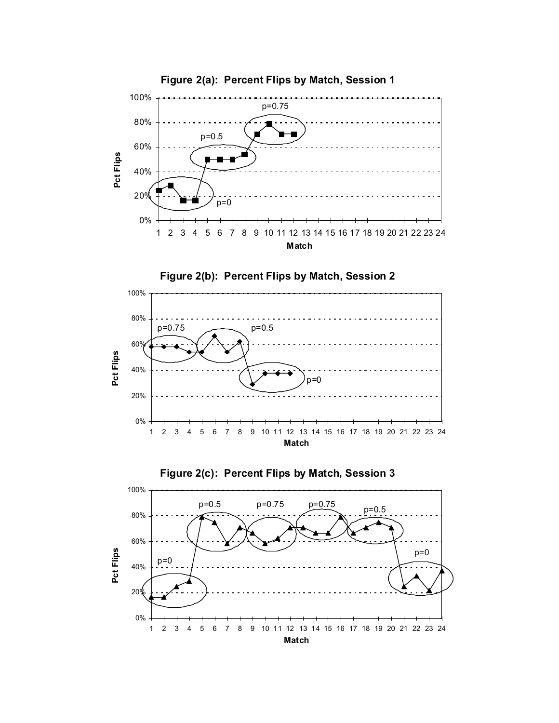





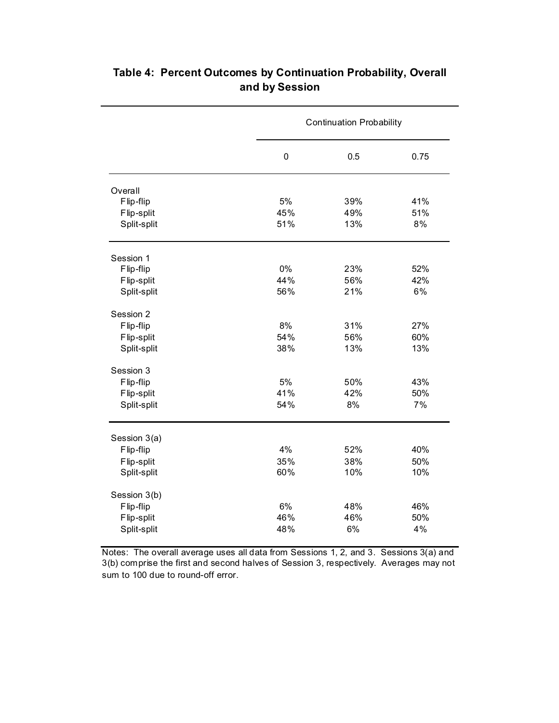|              |             | <b>Continuation Probability</b> |      |
|--------------|-------------|---------------------------------|------|
|              | $\mathbf 0$ | 0.5                             | 0.75 |
| Overall      |             |                                 |      |
| Flip-flip    | 5%          | 39%                             | 41%  |
| Flip-split   | 45%         | 49%                             | 51%  |
| Split-split  | 51%         | 13%                             | 8%   |
| Session 1    |             |                                 |      |
| Flip-flip    | 0%          | 23%                             | 52%  |
| Flip-split   | 44%         | 56%                             | 42%  |
| Split-split  | 56%         | 21%                             | 6%   |
| Session 2    |             |                                 |      |
| Flip-flip    | 8%          | 31%                             | 27%  |
| Flip-split   | 54%         | 56%                             | 60%  |
| Split-split  | 38%         | 13%                             | 13%  |
| Session 3    |             |                                 |      |
| Flip-flip    | 5%          | 50%                             | 43%  |
| Flip-split   | 41%         | 42%                             | 50%  |
| Split-split  | 54%         | 8%                              | 7%   |
| Session 3(a) |             |                                 |      |
| Flip-flip    | 4%          | 52%                             | 40%  |
| Flip-split   | 35%         | 38%                             | 50%  |
| Split-split  | 60%         | 10%                             | 10%  |
| Session 3(b) |             |                                 |      |
| Flip-flip    | 6%          | 48%                             | 46%  |
| Flip-split   | 46%         | 46%                             | 50%  |
| Split-split  | 48%         | 6%                              | 4%   |

### **Table 4: Percent Outcomes by Continuation Probability, Overall and by Session**

Notes: The overall average uses all data from Sessions 1, 2, and 3. Sessions 3(a) and 3(b) comprise the first and second halves of Session 3, respectively. Averages may not sum to 100 due to round-off error.